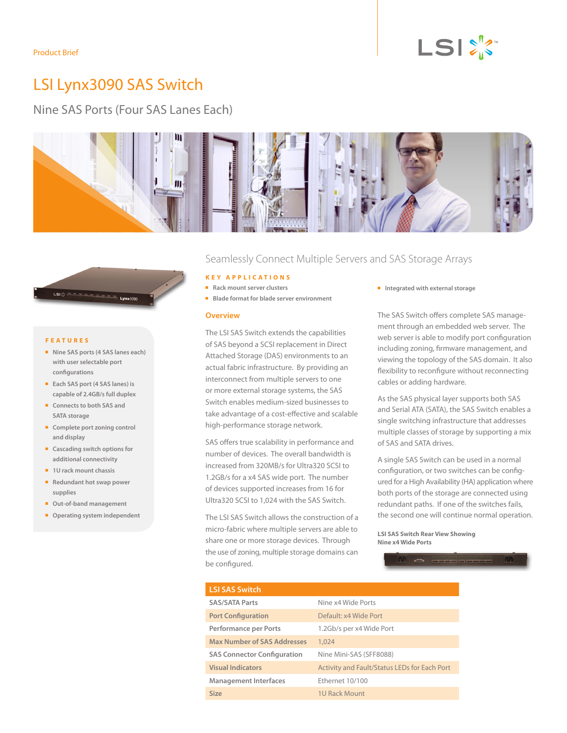# LSI Lynx3090 SAS Switch

Nine SAS Ports (Four SAS Lanes Each)





#### **F e a tures**

- Nine SAS ports (4 SAS lanes each) **with user selectable port configurations**
- **Each SAS port (4 SAS lanes) is capable of 2.4GB/s full duplex**
- **n** Connects to both SAS and **SATA storage**
- **n** Complete port zoning control **and display**
- **n** Cascading switch options for **additional connectivity**
- **n** 1U rack mount chassis
- **Redundant hot swap power supplies**
- **n** Out-of-band management
- **n** Operating system independent

# Seamlessly Connect Multiple Servers and SAS Storage Arrays

## **Key Applic a tions**

- **n** Rack mount server clusters
- **Blade format for blade server environment**

### **Overview**

The LSI SAS Switch extends the capabilities of SAS beyond a SCSI replacement in Direct Attached Storage (DAS) environments to an actual fabric infrastructure. By providing an interconnect from multiple servers to one or more external storage systems, the SAS Switch enables medium-sized businesses to take advantage of a cost-effective and scalable high-performance storage network.

SAS offers true scalability in performance and number of devices. The overall bandwidth is increased from 320MB/s for Ultra320 SCSI to 1.2GB/s for a x4 SAS wide port. The number of devices supported increases from 16 for Ultra320 SCSI to 1,024 with the SAS Switch.

The LSI SAS Switch allows the construction of a micro-fabric where multiple servers are able to share one or more storage devices. Through the use of zoning, multiple storage domains can be configured.

**n** Integrated with external storage

The SAS Switch offers complete SAS management through an embedded web server. The web server is able to modify port configuration including zoning, firmware management, and viewing the topology of the SAS domain. It also flexibility to reconfigure without reconnecting cables or adding hardware.

As the SAS physical layer supports both SAS and Serial ATA (SATA), the SAS Switch enables a single switching infrastructure that addresses multiple classes of storage by supporting a mix of SAS and SATA drives.

A single SAS Switch can be used in a normal configuration, or two switches can be configured for a High Availability (HA) application where both ports of the storage are connected using redundant paths. If one of the switches fails, the second one will continue normal operation.

**LSI SAS Switch Rear View Showing Nine x4 Wide Ports**



| <b>LSI SAS Switch</b>              |                                                     |  |  |
|------------------------------------|-----------------------------------------------------|--|--|
| <b>SAS/SATA Parts</b>              | Nine x4 Wide Ports                                  |  |  |
| <b>Port Configuration</b>          | Default: x4 Wide Port                               |  |  |
| Performance per Ports              | 1.2Gb/s per x4 Wide Port                            |  |  |
| <b>Max Number of SAS Addresses</b> | 1,024                                               |  |  |
| <b>SAS Connector Configuration</b> | Nine Mini-SAS (SFF8088)                             |  |  |
| <b>Visual Indicators</b>           | <b>Activity and Fault/Status LEDs for Each Port</b> |  |  |
| <b>Management Interfaces</b>       | Ethernet 10/100                                     |  |  |
| Size                               | <b>1U Rack Mount</b>                                |  |  |